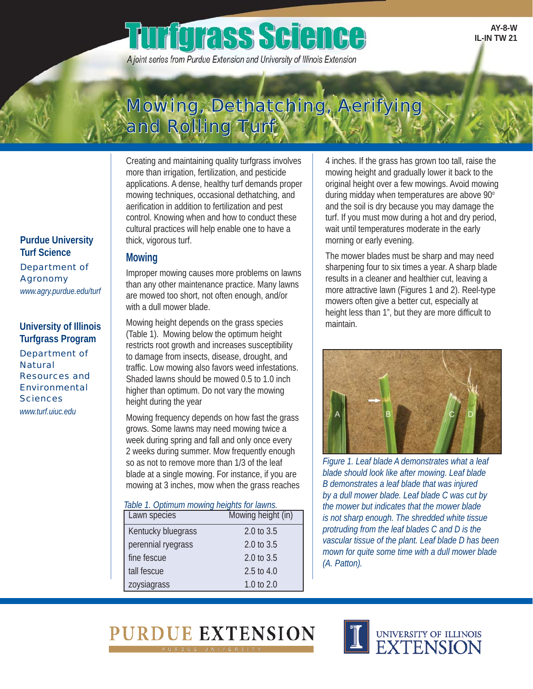# **urfgrass Science**

A joint series from Purdue Extension and University of Illinois Extension

**AY-8-W IL-IN TW 21** 

### Mowing, Dethatching, Aerifying and Rolling Turf

Creating and maintaining quality turfgrass involves more than irrigation, fertilization, and pesticide applications. A dense, healthy turf demands proper mowing techniques, occasional dethatching, and aerification in addition to fertilization and pest control. Knowing when and how to conduct these cultural practices will help enable one to have a thick, vigorous turf.

### **Mowing**

Improper mowing causes more problems on lawns than any other maintenance practice. Many lawns are mowed too short, not often enough, and/or with a dull mower blade.

Mowing height depends on the grass species (Table 1). Mowing below the optimum height restricts root growth and increases susceptibility to damage from insects, disease, drought, and traffic. Low mowing also favors weed infestations. Shaded lawns should be mowed 0.5 to 1.0 inch higher than optimum. Do not vary the mowing height during the year

Mowing frequency depends on how fast the grass grows. Some lawns may need mowing twice a week during spring and fall and only once every 2 weeks during summer. Mow frequently enough so as not to remove more than 1/3 of the leaf blade at a single mowing. For instance, if you are mowing at 3 inches, mow when the grass reaches

#### *Table 1. Optimum mowing heights for lawns.*

| Lawn species       | Mowing height (in) |
|--------------------|--------------------|
| Kentucky bluegrass | 2.0 to 3.5         |
| perennial ryegrass | 2.0 to 3.5         |
| fine fescue        | 2.0 to 3.5         |
| tall fescue        | 2.5 to 4.0         |
| zoysiagrass        | 1.0 to 2.0         |

4 inches. If the grass has grown too tall, raise the mowing height and gradually lower it back to the original height over a few mowings. Avoid mowing during midday when temperatures are above 90° and the soil is dry because you may damage the turf. If you must mow during a hot and dry period, wait until temperatures moderate in the early morning or early evening.

The mower blades must be sharp and may need sharpening four to six times a year. A sharp blade results in a cleaner and healthier cut, leaving a more attractive lawn (Figures 1 and 2). Reel-type mowers often give a better cut, especially at height less than 1", but they are more difficult to maintain.



*Figure 1. Leaf blade A demonstrates what a leaf blade should look like after mowing. Leaf blade B demonstrates a leaf blade that was injured by a dull mower blade. Leaf blade C was cut by the mower but indicates that the mower blade is not sharp enough. The shredded white tissue protruding from the leaf blades C and D is the vascular tissue of the plant. Leaf blade D has been mown for quite some time with a dull mower blade (A. Patton).* 





**Purdue University Turf Science**  Department of Agronomy *www.agry.purdue.edu/turf* 

Department of<br>Natural **University of Illinois Turfgrass Program**  Resources and Environmental **Sciences** 

*www.turf.uiuc.edu*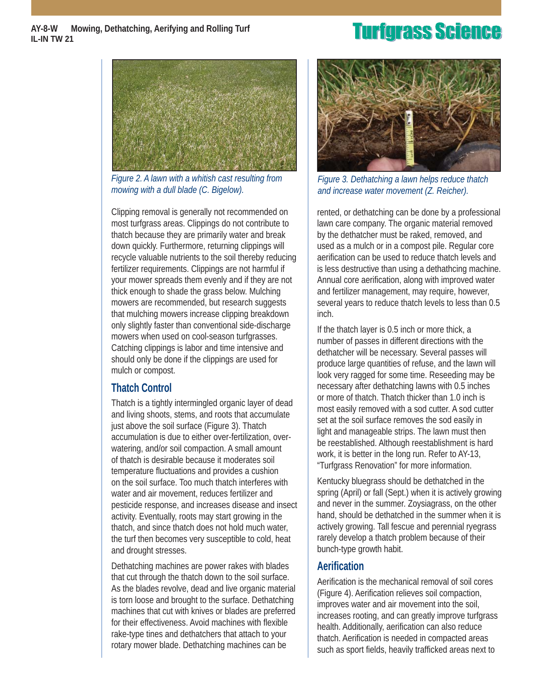#### **AY-8-W Mowing, Dethatching, Aerifying and Rolling Turf IL-IN TW 21**



*Figure 2. A lawn with a whitish cast resulting from mowing with a dull blade (C. Bigelow).* 

Clipping removal is generally not recommended on most turfgrass areas. Clippings do not contribute to thatch because they are primarily water and break down quickly. Furthermore, returning clippings will recycle valuable nutrients to the soil thereby reducing fertilizer requirements. Clippings are not harmful if your mower spreads them evenly and if they are not thick enough to shade the grass below. Mulching mowers are recommended, but research suggests that mulching mowers increase clipping breakdown only slightly faster than conventional side-discharge mowers when used on cool-season turfgrasses. Catching clippings is labor and time intensive and should only be done if the clippings are used for mulch or compost.

### **Thatch Control**

Thatch is a tightly intermingled organic layer of dead and living shoots, stems, and roots that accumulate just above the soil surface (Figure 3). Thatch accumulation is due to either over-fertilization, overwatering, and/or soil compaction. A small amount of thatch is desirable because it moderates soil temperature fluctuations and provides a cushion on the soil surface. Too much thatch interferes with water and air movement, reduces fertilizer and pesticide response, and increases disease and insect activity. Eventually, roots may start growing in the thatch, and since thatch does not hold much water, the turf then becomes very susceptible to cold, heat and drought stresses.

Dethatching machines are power rakes with blades that cut through the thatch down to the soil surface. As the blades revolve, dead and live organic material is torn loose and brought to the surface. Dethatching machines that cut with knives or blades are preferred for their effectiveness. Avoid machines with flexible rake-type tines and dethatchers that attach to your rotary mower blade. Dethatching machines can be

### **Turfgrass Science**



*Figure 3. Dethatching a lawn helps reduce thatch and increase water movement (Z. Reicher).* 

rented, or dethatching can be done by a professional lawn care company. The organic material removed by the dethatcher must be raked, removed, and used as a mulch or in a compost pile. Regular core aerification can be used to reduce thatch levels and is less destructive than using a dethathcing machine. Annual core aerification, along with improved water and fertilizer management, may require, however, several years to reduce thatch levels to less than 0.5 inch.

If the thatch layer is 0.5 inch or more thick, a number of passes in different directions with the dethatcher will be necessary. Several passes will produce large quantities of refuse, and the lawn will look very ragged for some time. Reseeding may be necessary after dethatching lawns with 0.5 inches or more of thatch. Thatch thicker than 1.0 inch is most easily removed with a sod cutter. A sod cutter set at the soil surface removes the sod easily in light and manageable strips. The lawn must then be reestablished. Although reestablishment is hard work, it is better in the long run. Refer to AY-13, "Turfgrass Renovation" for more information.

Kentucky bluegrass should be dethatched in the spring (April) or fall (Sept.) when it is actively growing and never in the summer. Zoysiagrass, on the other hand, should be dethatched in the summer when it is actively growing. Tall fescue and perennial ryegrass rarely develop a thatch problem because of their bunch-type growth habit.

### **Aerification**

Aerification is the mechanical removal of soil cores (Figure 4). Aerification relieves soil compaction, improves water and air movement into the soil, increases rooting, and can greatly improve turfgrass health. Additionally, aerification can also reduce thatch. Aerification is needed in compacted areas such as sport fields, heavily trafficked areas next to